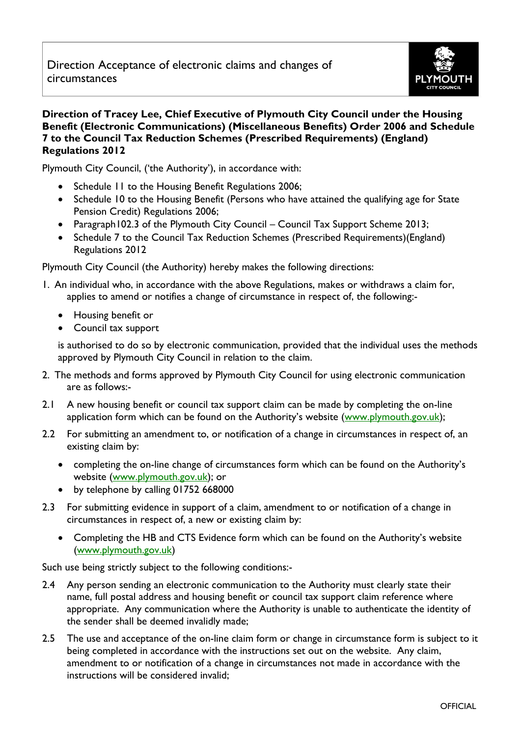

## **Direction of Tracey Lee, Chief Executive of Plymouth City Council under the Housing Benefit (Electronic Communications) (Miscellaneous Benefits) Order 2006 and Schedule 7 to the Council Tax Reduction Schemes (Prescribed Requirements) (England) Regulations 2012**

Plymouth City Council, ('the Authority'), in accordance with:

- Schedule 11 to the Housing Benefit Regulations 2006;
- Schedule 10 to the Housing Benefit (Persons who have attained the qualifying age for State Pension Credit) Regulations 2006;
- Paragraph102.3 of the Plymouth City Council Council Tax Support Scheme 2013;
- Schedule 7 to the Council Tax Reduction Schemes (Prescribed Requirements)(England) Regulations 2012

Plymouth City Council (the Authority) hereby makes the following directions:

- 1. An individual who, in accordance with the above Regulations, makes or withdraws a claim for, applies to amend or notifies a change of circumstance in respect of, the following:-
	- Housing benefit or
	- Council tax support

is authorised to do so by electronic communication, provided that the individual uses the methods approved by Plymouth City Council in relation to the claim.

- 2. The methods and forms approved by Plymouth City Council for using electronic communication are as follows:-
- 2.1 A new housing benefit or council tax support claim can be made by completing the on-line application form which can be found on the Authority's website ([www.plymouth.gov.uk\)](http://www.plymouth.gov.uk/);
- 2.2 For submitting an amendment to, or notification of a change in circumstances in respect of, an existing claim by:
	- completing the on-line change of circumstances form which can be found on the Authority's website [\(www.plymouth.gov.uk\)](http://www.plymouth.gov.uk/); or
	- by telephone by calling 01752 668000
- 2.3 For submitting evidence in support of a claim, amendment to or notification of a change in circumstances in respect of, a new or existing claim by:
	- Completing the HB and CTS Evidence form which can be found on the Authority's website [\(www.plymouth.gov.uk\)](http://www.plymouth.gov.uk/)

Such use being strictly subject to the following conditions:-

- 2.4 Any person sending an electronic communication to the Authority must clearly state their name, full postal address and housing benefit or council tax support claim reference where appropriate. Any communication where the Authority is unable to authenticate the identity of the sender shall be deemed invalidly made;
- 2.5 The use and acceptance of the on-line claim form or change in circumstance form is subject to it being completed in accordance with the instructions set out on the website. Any claim, amendment to or notification of a change in circumstances not made in accordance with the instructions will be considered invalid;